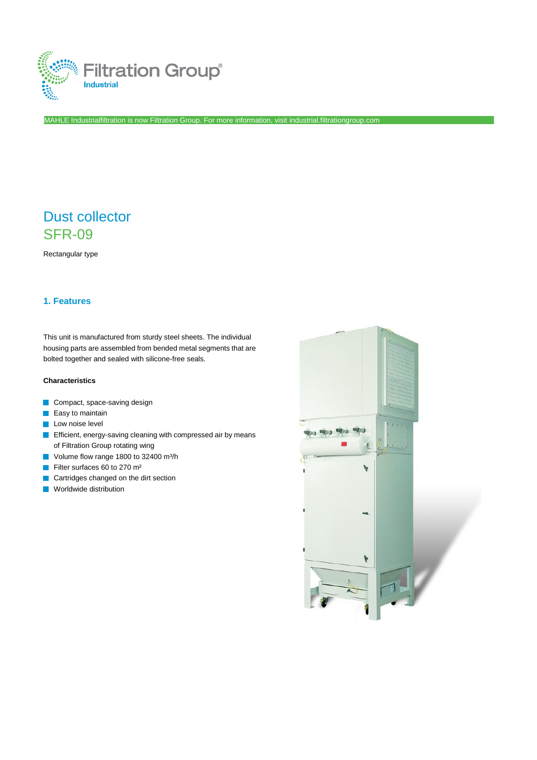

MAHLE Industrialfiltration is now Filtration Group. For more information, visi[t industrial.filtrationgroup.com](http://www.filtrationgroup.com/)

# Dust collector SFR-09

Rectangular type

# **1. Features**

This unit is manufactured from sturdy steel sheets. The individual housing parts are assembled from bended metal segments that are bolted together and sealed with silicone-free seals.

## **Characteristics**

- Compact, space-saving design
- $\blacksquare$  Easy to maintain
- **Low noise level**
- **Efficient, energy-saving cleaning with compressed air by means** of Filtration Group rotating wing
- Volume flow range 1800 to 32400 m<sup>3</sup>/h
- Filter surfaces 60 to 270 m²  $\overline{\mathcal{A}}$
- Cartridges changed on the dirt section
- **Norldwide distribution**

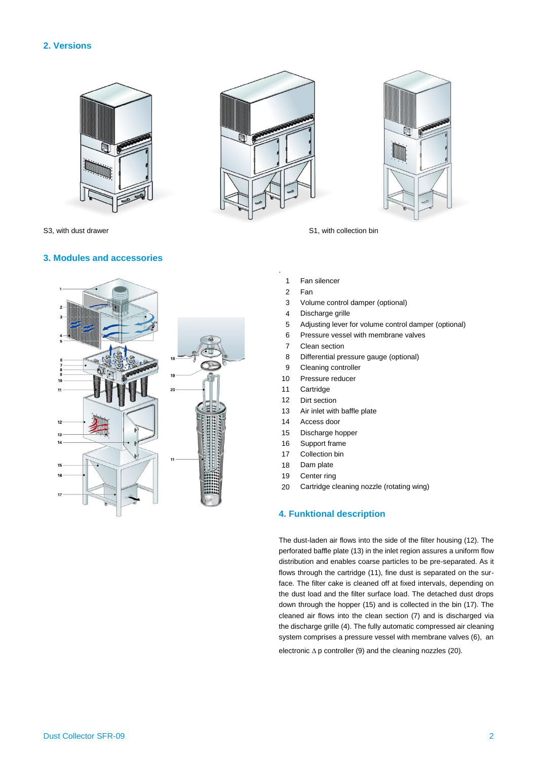## **2. Versions**







S3, with dust drawer S1, with collection bin

## **3. Modules and accessories**



- 
- 1 Fan silencer
- 2 Fan

.

- 3 Volume control damper (optional)
- 4 Discharge grille
- 5 Adjusting lever for volume control damper (optional)
- 6 Pressure vessel with membrane valves
- 7 Clean section
- 8 Differential pressure gauge (optional)
- 9 Cleaning controller
- 10 Pressure reducer
- 11 **Cartridge**
- 12 Dirt section
- 13 Air inlet with baffle plate
- 14 Access door
- 15 Discharge hopper
- 16 Support frame
- 17 Collection bin
- 18 Dam plate
- 19 Center ring
- 20 Cartridge cleaning nozzle (rotating wing)

## **4. Funktional description**

The dust-laden air flows into the side of the filter housing (12). The perforated baffle plate (13) in the inlet region assures a uniform flow distribution and enables coarse particles to be pre-separated. As it flows through the cartridge (11), fine dust is separated on the surface. The filter cake is cleaned off at fixed intervals, depending on the dust load and the filter surface load. The detached dust drops down through the hopper (15) and is collected in the bin (17). The cleaned air flows into the clean section (7) and is discharged via the discharge grille (4). The fully automatic compressed air cleaning system comprises a pressure vessel with membrane valves (6), an electronic  $\Delta p$  controller (9) and the cleaning nozzles (20).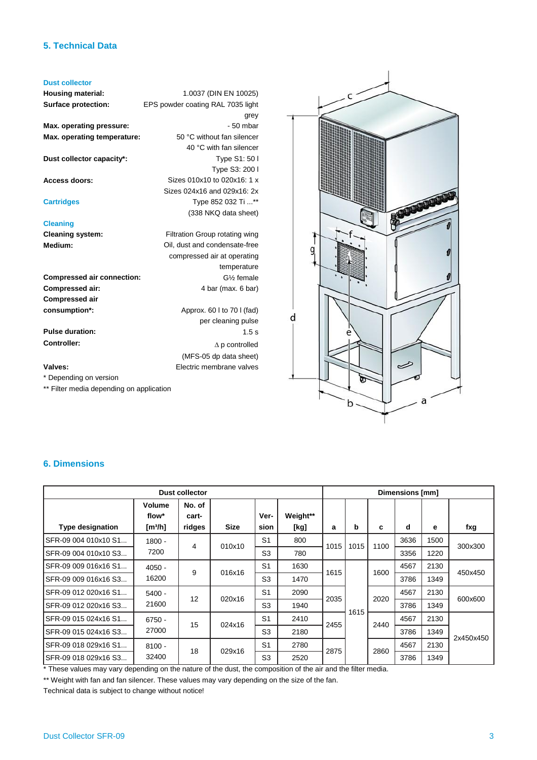## **5. Technical Data**

#### **Dust collector**

**Housing material: Surface protection:**

**Max. operating pressure: Max. operating temperature:**

**Dust collector capacity\*:**

**Access doors:**

**Cartridges**

### **Cleaning**

**Cleaning system: Medium:**

**Compressed air connection: Compressed air: Compressed air consumption\*:** Approx. 60 l to 70 l (fad)

**Pulse duration: Controller:**

#### **Valves:**

\* Depending on version

\*\* Filter media depending on application

g d  $\rightsquigarrow$ a  $\mathsf{b}$ 

## **6. Dimensions**

| <b>Dust collector</b>   |                                        |                           |             |                | Dimensions [mm]  |      |      |      |      |      |           |
|-------------------------|----------------------------------------|---------------------------|-------------|----------------|------------------|------|------|------|------|------|-----------|
| <b>Type designation</b> | Volume<br>flow*<br>[m <sup>3</sup> /h] | No. of<br>cart-<br>ridges | <b>Size</b> | Ver-<br>sion   | Weight**<br>[kg] | a    | b    | c    | d    | е    | fxg       |
| SFR-09 004 010x10 S1    | $1800 -$                               | 4                         | 010x10      | S <sub>1</sub> | 800              |      |      | 1100 | 3636 | 1500 | 300x300   |
| SFR-09 004 010x10 S3    | 7200                                   |                           |             | S <sub>3</sub> | 780              | 1015 | 1015 |      | 3356 | 1220 |           |
| SFR-09 009 016x16 S1    | $4050 -$                               | 9                         | 016x16      | S <sub>1</sub> | 1630             |      |      | 1600 | 4567 | 2130 | 450x450   |
| SFR-09 009 016x16 S3    | 16200                                  |                           |             | S <sub>3</sub> | 1470             | 1615 |      |      | 3786 | 1349 |           |
| SFR-09 012 020x16 S1    | $5400 -$                               | 12                        | 020x16      | S <sub>1</sub> | 2090             | 2035 | 1615 | 2020 | 4567 | 2130 | 600x600   |
| SFR-09 012 020x16 S3    | 21600                                  |                           |             | S <sub>3</sub> | 1940             |      |      |      | 3786 | 1349 |           |
| SFR-09 015 024x16 S1    | $6750 -$                               | 15                        | 024x16      | S <sub>1</sub> | 2410             | 2455 |      | 2440 | 4567 | 2130 | 2x450x450 |
| SFR-09 015 024x16 S3    | 27000                                  |                           |             | S <sub>3</sub> | 2180             |      |      |      | 3786 | 1349 |           |
| SFR-09 018 029x16 S1    | $8100 -$                               | 18                        | 029x16      | S <sub>1</sub> | 2780             |      |      | 2860 | 4567 | 2130 |           |
| SFR-09 018 029x16 S3    | 32400                                  |                           |             | S <sub>3</sub> | 2520             | 2875 |      |      | 3786 | 1349 |           |

\* These values may vary depending on the nature of the dust, the composition of the air and the filter media.

1.0037 (DIN EN 10025)

50 °C without fan silencer 40 °C with fan silencer

Sizes 010x10 to 020x16: 1 x Sizes 024x16 and 029x16: 2x Type 852 032 Ti ...\*\* (338 NKQ data sheet)

Filtration Group rotating wing Oil, dust and condensate-free compressed air at operating

grey - 50 mbar

Type S1: 50 l Type S3: 200 l

temperature G½ female 4 bar (max. 6 bar)

per cleaning pulse

(MFS-05 dp data sheet) Electric membrane valves

 $\Delta$  p controlled

1.5 s

EPS powder coating RAL 7035 light

\*\* Weight with fan and fan silencer. These values may vary depending on the size of the fan.

Technical data is subject to change without notice!